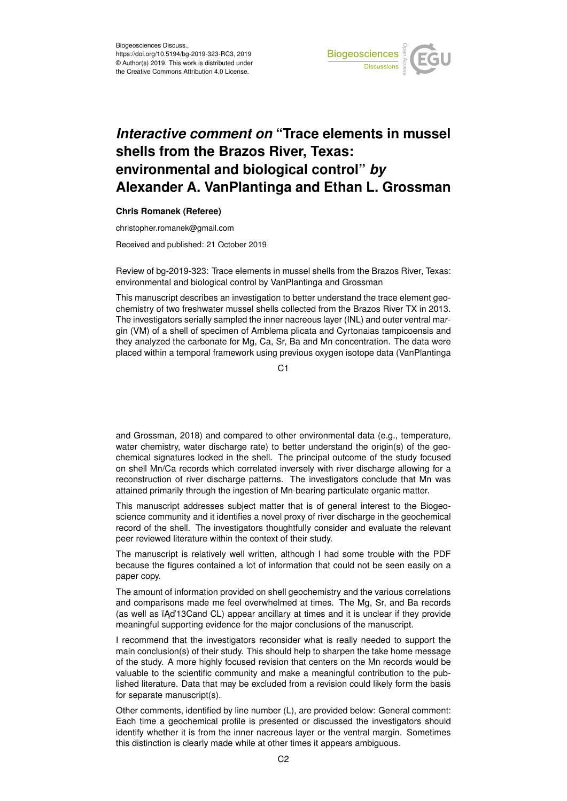

## *Interactive comment on* **"Trace elements in mussel shells from the Brazos River, Texas: environmental and biological control"** *by* **Alexander A. VanPlantinga and Ethan L. Grossman**

## **Chris Romanek (Referee)**

christopher.romanek@gmail.com

Received and published: 21 October 2019

Review of bg-2019-323: Trace elements in mussel shells from the Brazos River, Texas: environmental and biological control by VanPlantinga and Grossman

This manuscript describes an investigation to better understand the trace element geochemistry of two freshwater mussel shells collected from the Brazos River TX in 2013. The investigators serially sampled the inner nacreous layer (INL) and outer ventral margin (VM) of a shell of specimen of Amblema plicata and Cyrtonaias tampicoensis and they analyzed the carbonate for Mg, Ca, Sr, Ba and Mn concentration. The data were placed within a temporal framework using previous oxygen isotope data (VanPlantinga

C1

and Grossman, 2018) and compared to other environmental data (e.g., temperature, water chemistry, water discharge rate) to better understand the origin(s) of the geochemical signatures locked in the shell. The principal outcome of the study focused on shell Mn/Ca records which correlated inversely with river discharge allowing for a reconstruction of river discharge patterns. The investigators conclude that Mn was attained primarily through the ingestion of Mn-bearing particulate organic matter.

This manuscript addresses subject matter that is of general interest to the Biogeoscience community and it identifies a novel proxy of river discharge in the geochemical record of the shell. The investigators thoughtfully consider and evaluate the relevant peer reviewed literature within the context of their study.

The manuscript is relatively well written, although I had some trouble with the PDF because the figures contained a lot of information that could not be seen easily on a paper copy.

The amount of information provided on shell geochemistry and the various correlations and comparisons made me feel overwhelmed at times. The Mg, Sr, and Ba records (as well as  $\overline{A}$ d'13Cand CL) appear ancillary at times and it is unclear if they provide meaningful supporting evidence for the major conclusions of the manuscript.

I recommend that the investigators reconsider what is really needed to support the main conclusion(s) of their study. This should help to sharpen the take home message of the study. A more highly focused revision that centers on the Mn records would be valuable to the scientific community and make a meaningful contribution to the published literature. Data that may be excluded from a revision could likely form the basis for separate manuscript(s).

Other comments, identified by line number (L), are provided below: General comment: Each time a geochemical profile is presented or discussed the investigators should identify whether it is from the inner nacreous layer or the ventral margin. Sometimes this distinction is clearly made while at other times it appears ambiguous.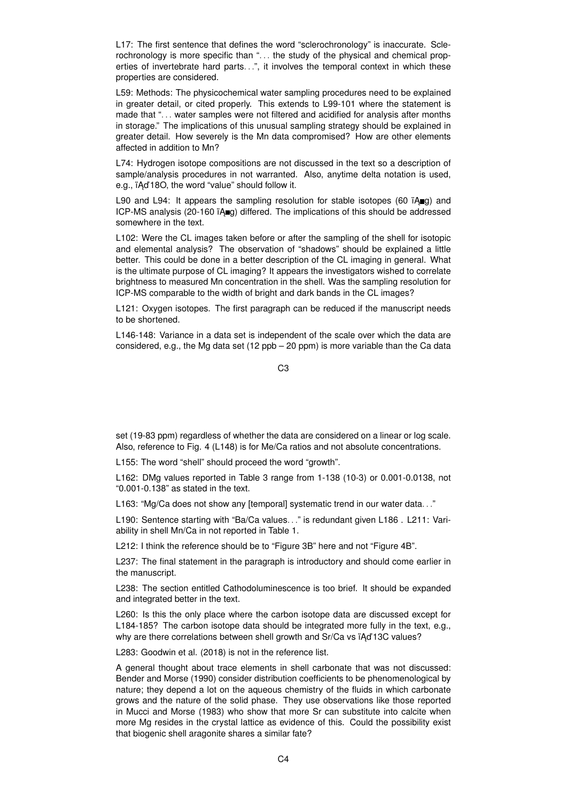L17: The first sentence that defines the word "sclerochronology" is inaccurate. Sclerochronology is more specific than "... the study of the physical and chemical properties of invertebrate hard parts. . .", it involves the temporal context in which these properties are considered.

L59: Methods: The physicochemical water sampling procedures need to be explained in greater detail, or cited properly. This extends to L99-101 where the statement is made that ". . . water samples were not filtered and acidified for analysis after months in storage." The implications of this unusual sampling strategy should be explained in greater detail. How severely is the Mn data compromised? How are other elements affected in addition to Mn?

L74: Hydrogen isotope compositions are not discussed in the text so a description of sample/analysis procedures in not warranted. Also, anytime delta notation is used, e.g., ïAd'18O, the word "value" should follow it.

L90 and L94: It appears the sampling resolution for stable isotopes (60  $\overline{A}$ q) and ICP-MS analysis (20-160 ïAgg) differed. The implications of this should be addressed somewhere in the text.

L102: Were the CL images taken before or after the sampling of the shell for isotopic and elemental analysis? The observation of "shadows" should be explained a little better. This could be done in a better description of the CL imaging in general. What is the ultimate purpose of CL imaging? It appears the investigators wished to correlate brightness to measured Mn concentration in the shell. Was the sampling resolution for ICP-MS comparable to the width of bright and dark bands in the CL images?

L121: Oxygen isotopes. The first paragraph can be reduced if the manuscript needs to be shortened.

L146-148: Variance in a data set is independent of the scale over which the data are considered, e.g., the Mg data set (12 ppb – 20 ppm) is more variable than the Ca data

C3

set (19-83 ppm) regardless of whether the data are considered on a linear or log scale. Also, reference to Fig. 4 (L148) is for Me/Ca ratios and not absolute concentrations.

L155: The word "shell" should proceed the word "growth".

L162: DMg values reported in Table 3 range from 1-138 (10-3) or 0.001-0.0138, not "0.001-0.138" as stated in the text.

L163: "Mg/Ca does not show any [temporal] systematic trend in our water data..."

L190: Sentence starting with "Ba/Ca values. . ." is redundant given L186 . L211: Variability in shell Mn/Ca in not reported in Table 1.

L212: I think the reference should be to "Figure 3B" here and not "Figure 4B".

L237: The final statement in the paragraph is introductory and should come earlier in the manuscript.

L238: The section entitled Cathodoluminescence is too brief. It should be expanded and integrated better in the text.

L260: Is this the only place where the carbon isotope data are discussed except for L184-185? The carbon isotope data should be integrated more fully in the text, e.g., why are there correlations between shell growth and Sr/Ca vs iAd'13C values?

L283: Goodwin et al. (2018) is not in the reference list.

A general thought about trace elements in shell carbonate that was not discussed: Bender and Morse (1990) consider distribution coefficients to be phenomenological by nature; they depend a lot on the aqueous chemistry of the fluids in which carbonate grows and the nature of the solid phase. They use observations like those reported in Mucci and Morse (1983) who show that more Sr can substitute into calcite when more Mg resides in the crystal lattice as evidence of this. Could the possibility exist that biogenic shell aragonite shares a similar fate?